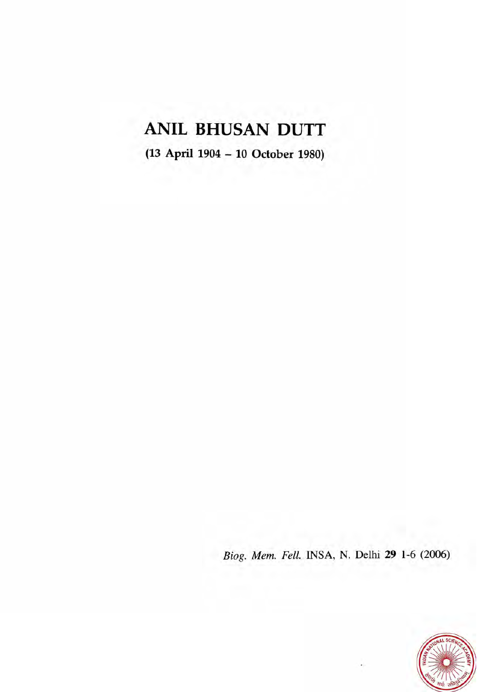# **ANIL BHUSAN DUTT**

**(13 April 1904** - **10 October 1980)** 

**Biog.** *Mem. Fell. INSA, N.* **Delhi 29 1-6 (2006)** 

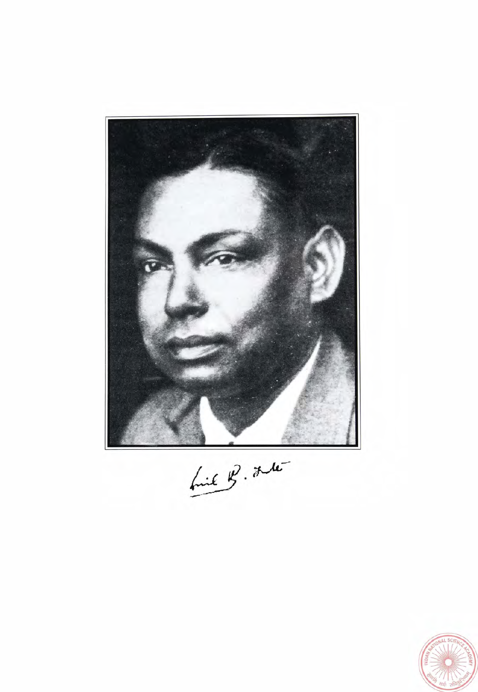

fruit B. Juli

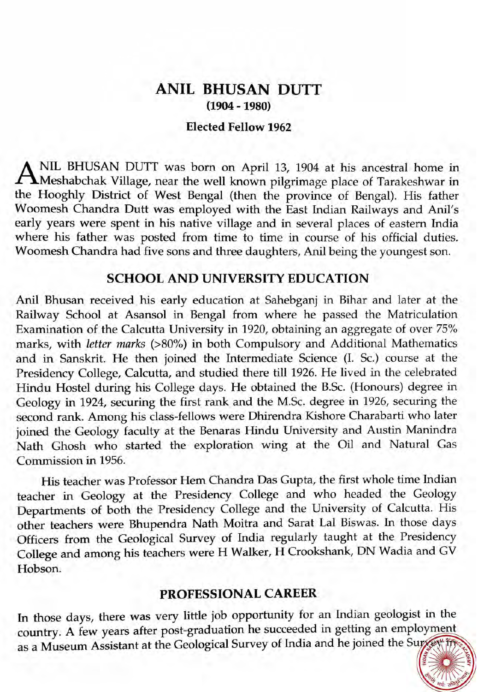## **ANIL BHUSAN DUTT (1904** - **1980)**

#### **Elected Fellow 1962**

ANIL BHUSAN DUTT was born on April 13, 1904 at his ancestral home in Meshabchak Village, near the well known pilgrimage place of Tarakeshwar in the Hooghly District of West Bengal (then the province of Bengal). His father Woomesh Chandra Dutt was employed with the East Indian Railways and Anil's early years were spent in his native village and in several places of eastern India where his father was posted from time to time in course of his official duties. Woomesh Chandra had five sons and three daughters, Anil being the youngest son.

### **SCHOOL AND UNIVERSITY EDUCATION**

Anil Bhusan received his early education at Sahebganj in Bihar and later at the Railway School at Asansol in Bengal from where he passed the Matriculation Examination of the Calcutta University in 1920, obtaining an aggregate of over 75% marks, with *letter marks* (>80%) in both Compulsory and Additional Mathematics and in Sanskrit. He then joined the Intermediate Science (I. Sc.) course at the Presidency College, Calcutta, and studied there till 1926. He lived in the celebrated Hindu Hostel during his College days. He obtained the B.Sc. (Honours) degree in Geology in 1924, securing the first rank and the M.Sc. degree in 1926, securing the second rank. Among his class-fellows were Dhirendra Kishore Charabarti who later joined the Geology faculty at the Benaras Hindu University and Austin Manindra Nath Ghosh who started the exploration wing at the Oil and Natural Gas Commission in 1956.

His teacher was Professor Hem Chandra Das Gupta, the first whole time Indian teacher in Geology at the Presidency College and who headed the Geology Departments of both the Presidency College and the University of Calcutta. His other teachers were Bhupendra Nath Moitra and Sarat La1 Biswas. In those days Officers from the Geological Survey of India regularly taught at the Presidency College and among his teachers were H Walker, H Crookshank, DN Wadia and GV Hobson.

#### **PROFESSIONAL CAREER**

In those days, there was very little job opportunity for an Indian geologist in the country. A few years after post-graduation he succeeded in getting an employment as a Museum Assistant at the Geological Survey of India and he joined the Survey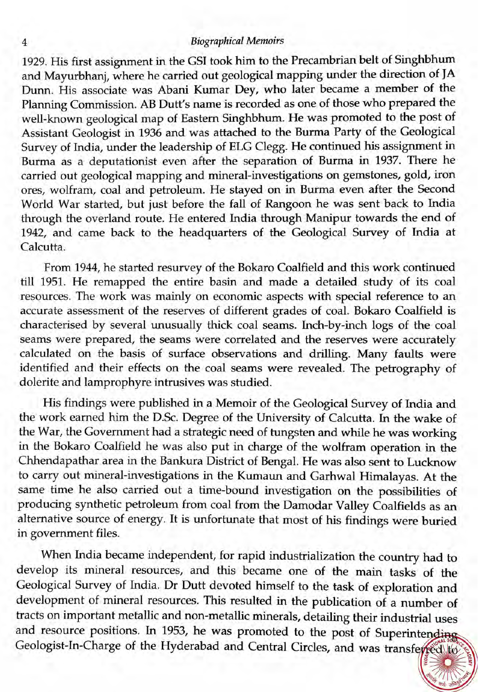#### *Biographical Memoirs*

1929. His first assignment in the GSI took him to the Precambrian belt of Singhbhum and Mayurbhanj, where he carried out geological mapping under the direction of JA Dunn. His associate was Abani Kurnar Dey, who later became a member of the Planning Commission. AB Dutt's name is recorded as one of those who prepared the well-known geological map of Eastern Singhbhum. He was promoted to the post of Assistant Geologist in 1936 and was attached to the Burma Party of the Geological Survey of India, under the leadership of ELG Clegg. He continued his assignment in Burma as a deputationist even after the separation of Burma in 1937. There he carried out geological mapping and mineral-investigations on gemstones, gold, iron ores, wolfram, coal and petroleum. He stayed on in Burma even after the Second World War started, but just before the fall of Rangoon he was sent back to India through the overland route. He entered India through Manipur towards the end of 1942, and came back to the headquarters of the Geological Survey of India at Calcutta.

From 1944, he started resurvey of the Bokaro Coalfield and this work continued till 1951. He remapped the entire basin and made a detailed study of its coal resources. The work was mainly on economic aspects with special reference to an accurate assessment of the reserves of different grades of coal. Bokaro Coalfield is characterised by several unusually thick coal seams. Inch-by-inch logs of the coal seams were prepared, the seams were correlated and the reserves were accurately calculated on the basis of surface observations and drilling. Many faults were identified and their effects on the coal seams were revealed. The petrography of dolerite and lamprophyre intrusives was studied.

His findings were published in a Memoir of the Geological Survey of India and the work earned him the D.Sc. Degree of the University of Calcutta. In the wake of the War, the Government had a strategic need of tungsten and while he was working in the Bokaro Coalfield he was also put in charge of the wolfram operation in the Chhendapathar area in the Bankura District of Bengal. He was also sent to Lucknow to carry out mineral-investigations in the Kumaun and Garhwal Himalayas. At the same time he also carried out a time-bound investigation on the possibilities of producing synthetic petroleum from coal from the Damodar Valley Coalfields as an alternative source of energy. It is unfortunate that most of his findings were buried in government files.

When India became independent, for rapid industrialization the country had to develop its mineral resources, and this became one of the main tasks of the Geological Survey of India. Dr Dutt devoted himself to the task of exploration and development of mineral resources. This resulted in the publication of a number of tracts on important metallic and non-metallic minerals, detailing their industrial uses<br>and resource positions. In 1953, he was promoted to the post of Superintending Geologist-In-Charge of the Hyderabad and Central Circles, and was transf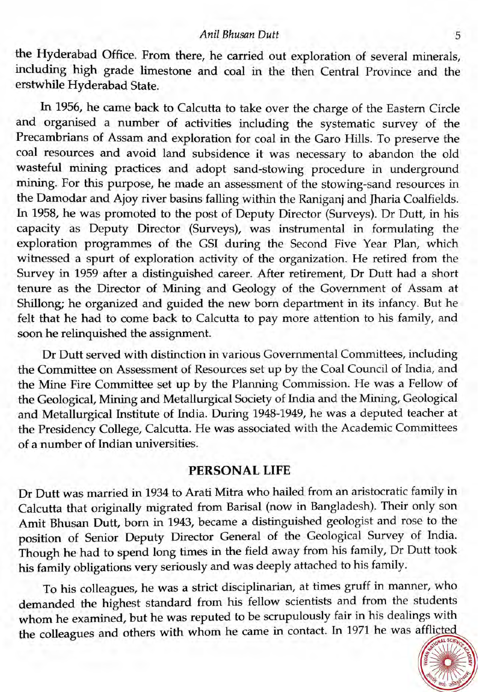the Hyderabad Office. From there, he carried out exploration of several minerals, including high grade limestone and coal in the then Central Province and the erstwhile Hyderabad State.

**In** 1956, he came back to Calcutta to take over the charge of the Eastern Circle and organised a number of activities including the systematic survey of the Precambrians of Assam and exploration for coal in the Garo Hills. To preserve the coal resources and avoid land subsidence it was necessary to abandon the old wasteful mining practices and adopt sand-stowing procedure in underground mining. For this purpose, he made an assessment of the stowing-sand resources in the Damodar and Ajoy river basins falling within the Raniganj and Jharia Coalfields. In 1958, he was promoted to the post of Deputy Director (Surveys). Dr Dutt, in his capacity as Deputy Director (Surveys), was instrumental in formulating the exploration programmes of the GSI during the Second Five Year Plan, which witnessed a spurt of exploration activity of the organization. He retired from the Survey in 1959 after a distinguished career. After retirement, Dr Dutt had a short tenure as the Director of Mining and Geology of the Government of Assam at Shillong; he organized and guided the new born department in its infancy. But he felt that he had to come back to Calcutta to pay more attention to his family, and soon he relinquished the assignment.

Dr Dutt served with distinction in various Governmental Committees, including the Committee on Assessment of Resources set up by the Coal Council of India, and the Mine Fire Committee set up by the Planning Commission. He was a Fellow of the Geological, Mining and Metallurgical Society of India and the Mining, Geological and Metallurgical Institute of India. During 1948-1949, he was a deputed teacher at the Presidency College, Calcutta. He was associated with the Academic Committees of a number of Indian universities.

## **PERSONAL LIFE**

Dr Dutt was married in 1934 to Arati Mitra who hailed from an aristocratic family in Calcutta that originally migrated from Barisal (now in Bangladesh). Their only son Amit Bhusan Dutt, born in 1943, became a distinguished geologist and rose to the position of Senior Deputy Director General of the Geological Survey of India. Though he had to spend long times in the field away from his family, Dr Dutt took his family obligations very seriously and was deeply attached to his family.

To his colleagues, he was a strict disciplinarian, at times gruff in manner, who demanded the highest standard from his fellow scientists and from the students whom he examined, but he was reputed to be scrupulously fair in his dealings with the colleagues and others with whom he came in contact. In 1971 he was afflicted